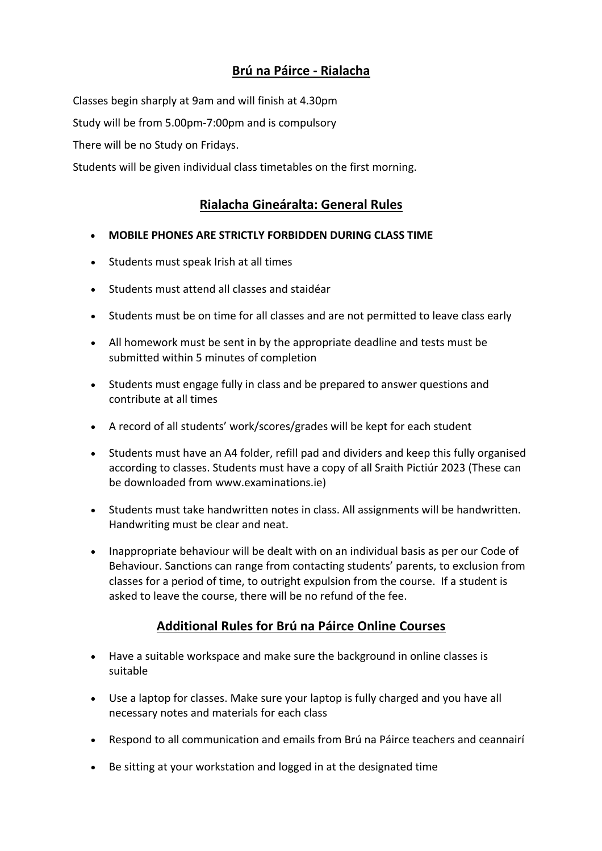## **Brú na Páirce - Rialacha**

Classes begin sharply at 9am and will finish at 4.30pm

Study will be from 5.00pm-7:00pm and is compulsory

There will be no Study on Fridays.

Students will be given individual class timetables on the first morning.

## **Rialacha Gineáralta: General Rules**

- **MOBILE PHONES ARE STRICTLY FORBIDDEN DURING CLASS TIME**
- Students must speak Irish at all times
- Students must attend all classes and staidéar
- Students must be on time for all classes and are not permitted to leave class early
- All homework must be sent in by the appropriate deadline and tests must be submitted within 5 minutes of completion
- Students must engage fully in class and be prepared to answer questions and contribute at all times
- A record of all students' work/scores/grades will be kept for each student
- Students must have an A4 folder, refill pad and dividers and keep this fully organised according to classes. Students must have a copy of all Sraith Pictiúr 2023 (These can be downloaded from www.examinations.ie)
- Students must take handwritten notes in class. All assignments will be handwritten. Handwriting must be clear and neat.
- Inappropriate behaviour will be dealt with on an individual basis as per our Code of Behaviour. Sanctions can range from contacting students' parents, to exclusion from classes for a period of time, to outright expulsion from the course. If a student is asked to leave the course, there will be no refund of the fee.

## **Additional Rules for Brú na Páirce Online Courses**

- Have a suitable workspace and make sure the background in online classes is suitable
- Use a laptop for classes. Make sure your laptop is fully charged and you have all necessary notes and materials for each class
- Respond to all communication and emails from Brú na Páirce teachers and ceannairí
- Be sitting at your workstation and logged in at the designated time